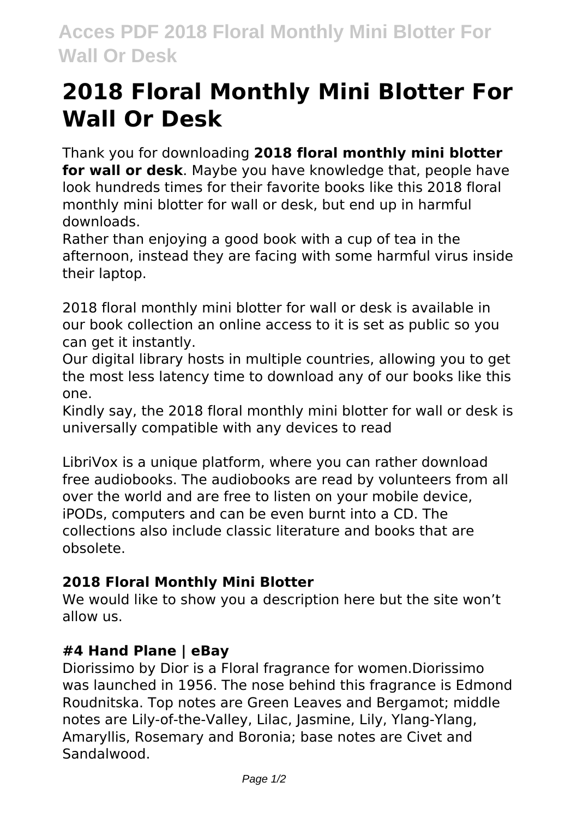# **2018 Floral Monthly Mini Blotter For Wall Or Desk**

Thank you for downloading **2018 floral monthly mini blotter for wall or desk**. Maybe you have knowledge that, people have look hundreds times for their favorite books like this 2018 floral monthly mini blotter for wall or desk, but end up in harmful downloads.

Rather than enjoying a good book with a cup of tea in the afternoon, instead they are facing with some harmful virus inside their laptop.

2018 floral monthly mini blotter for wall or desk is available in our book collection an online access to it is set as public so you can get it instantly.

Our digital library hosts in multiple countries, allowing you to get the most less latency time to download any of our books like this one.

Kindly say, the 2018 floral monthly mini blotter for wall or desk is universally compatible with any devices to read

LibriVox is a unique platform, where you can rather download free audiobooks. The audiobooks are read by volunteers from all over the world and are free to listen on your mobile device, iPODs, computers and can be even burnt into a CD. The collections also include classic literature and books that are obsolete.

## **2018 Floral Monthly Mini Blotter**

We would like to show you a description here but the site won't allow us.

### **#4 Hand Plane | eBay**

Diorissimo by Dior is a Floral fragrance for women.Diorissimo was launched in 1956. The nose behind this fragrance is Edmond Roudnitska. Top notes are Green Leaves and Bergamot; middle notes are Lily-of-the-Valley, Lilac, Jasmine, Lily, Ylang-Ylang, Amaryllis, Rosemary and Boronia; base notes are Civet and Sandalwood.